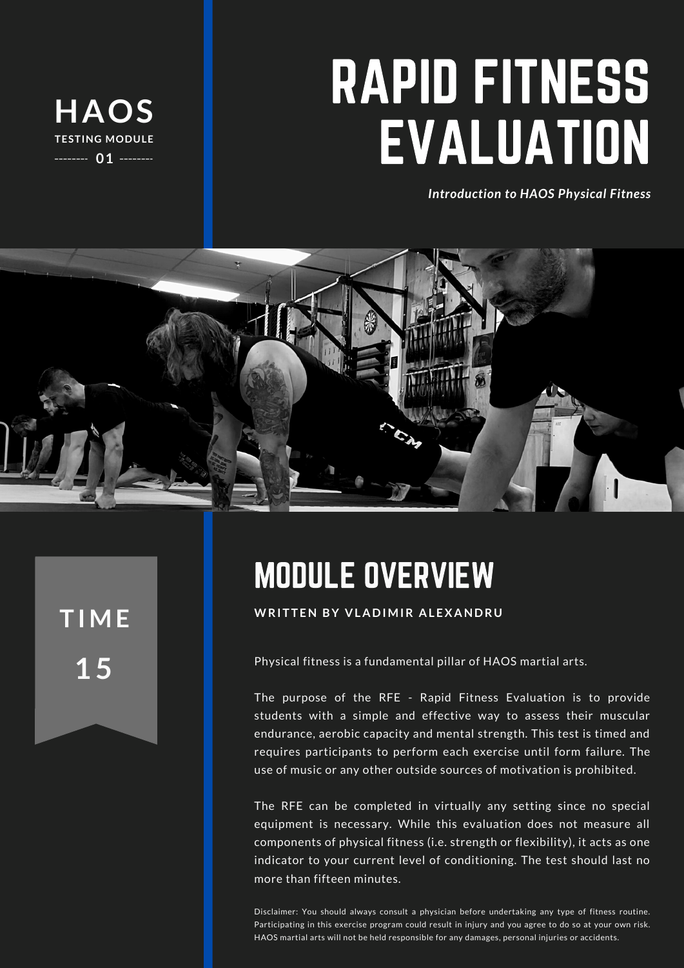

# RAPID FITNESS EVALUATION

*Introduction to HAOS Physical Fitness*



**1 5**

## MODULE OVERVIEW

**WRI <sup>T</sup> <sup>T</sup> EN BY <sup>V</sup> <sup>L</sup> <sup>A</sup> <sup>D</sup> IMIR <sup>A</sup> <sup>L</sup> EX AND <sup>R</sup> <sup>U</sup> T IME**

Physical fitness is a fundamental pillar of HAOS martial arts.

The purpose of the RFE - Rapid Fitness Evaluation is to provide students with a simple and effective way to assess their muscular endurance, aerobic capacity and mental strength. This test is timed and requires participants to perform each exercise until form failure. The use of music or any other outside sources of motivation is prohibited.

The RFE can be completed in virtually any setting since no special equipment is necessary. While this evaluation does not measure all components of physical fitness (i.e. strength or flexibility), it acts as one indicator to your current level of conditioning. The test should last no more than fifteen minutes.

Disclaimer: You should always consult a physician before undertaking any type of fitness routine. Participating in this exercise program could result in injury and you agree to do so at your own risk. HAOS martial arts will not be held responsible for any damages, personal injuries or accidents.